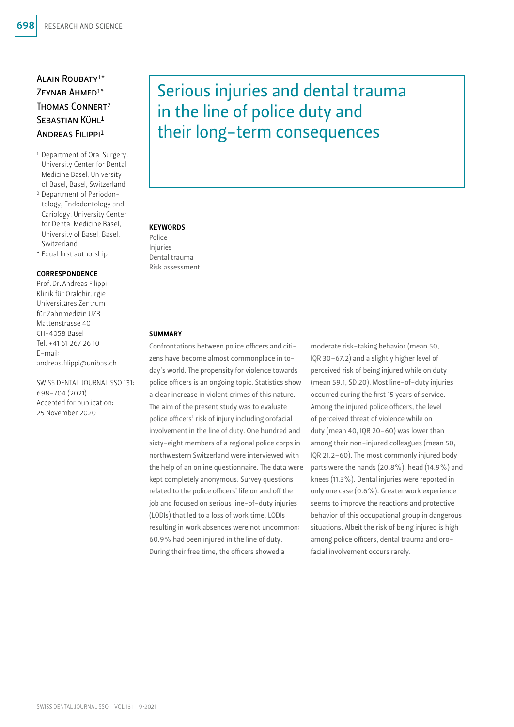# Alain Roubaty1\* Zeynab Ahmed1\* Thomas Connert2 SEBASTIAN KÜHL<sup>1</sup> Andreas Filippi1

- 1 Department of Oral Surgery, University Center for Dental Medicine Basel, University of Basel, Basel, Switzerland
- 2 Department of Periodontology, Endodontology and Cariology, University Center for Dental Medicine Basel, University of Basel, Basel, Switzerland
- \* Equal first authorship

#### **CORRESPONDENCE**

Prof.Dr.Andreas Filippi Klinik für Oralchirurgie Universitäres Zentrum für Zahnmedizin UZB Mattenstrasse 40 CH-4058 Basel Tel. +41 61 267 26 10 E-mail: andreas.filippi@unibas.ch

SWISS DENTAL JOURNAL SSO 131: 698–704 (2021) Accepted for publication: 25 November 2020

# Serious injuries and dental trauma in the line of police duty and their long-term consequences

#### **KEYWORDS**

Police Injuries Dental trauma Risk assessment

#### **SUMMARY**

Confrontations between police officers and citizens have become almost commonplace in today's world. The propensity for violence towards police officers is an ongoing topic. Statistics show a clear increase in violent crimes of this nature. The aim of the present study was to evaluate police officers' risk of injury including orofacial involvement in the line of duty. One hundred and sixty-eight members of a regional police corps in northwestern Switzerland were interviewed with the help of an online questionnaire. The data were kept completely anonymous. Survey questions related to the police officers' life on and off the job and focused on serious line-of-duty injuries (LODIs) that led to a loss of work time. LODIs resulting in work absences were not uncommon: 60.9% had been injured in the line of duty. During their free time, the officers showed a

moderate risk-taking behavior (mean 50, IQR 30–67.2) and a slightly higher level of perceived risk of being injured while on duty (mean 59.1, SD 20). Most line-of-duty injuries occurred during the first 15 years of service. Among the injured police officers, the level of perceived threat of violence while on duty (mean 40, IQR 20–60) was lower than among their non-injured colleagues (mean 50, IQR 21.2–60). The most commonly injured body parts were the hands (20.8%), head (14.9%) and knees (11.3%). Dental injuries were reported in only one case (0.6%). Greater work experience seems to improve the reactions and protective behavior of this occupational group in dangerous situations. Albeit the risk of being injured is high among police officers, dental trauma and orofacial involvement occurs rarely.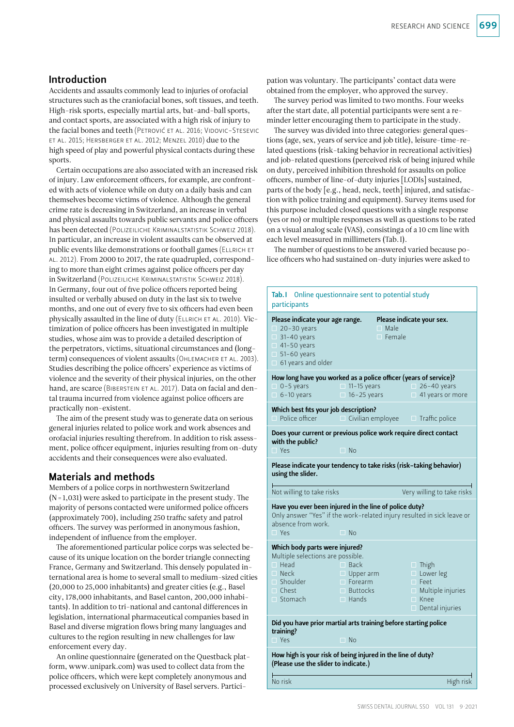## Introduction

Accidents and assaults commonly lead to injuries of orofacial structures such as the craniofacial bones, soft tissues, and teeth. High-risk sports, especially martial arts, bat-and-ball sports, and contact sports, are associated with a high risk of injury to the facial bones and teeth (PETROVIĆ ET AL. 2016; VIDOVIC-STESEVIC et al. 2015; Hersberger et al. 2012; Menzel 2010) due to the high speed of play and powerful physical contacts during these sports.

Certain occupations are also associated with an increased risk of injury. Law enforcement officers, for example, are confronted with acts of violence while on duty on a daily basis and can themselves become victims of violence. Although the general crime rate is decreasing in Switzerland, an increase in verbal and physical assaults towards public servants and police officers has been detected (Polizeiliche Kriminalstatistik Schweiz 2018). In particular, an increase in violent assaults can be observed at public events like demonstrations or football games (ELLRICH ET al. 2012). From 2000 to 2017, the rate quadrupled, corresponding to more than eight crimes against police officers per day in Switzerland (Polizeiliche Kriminalstatistik Schweiz 2018). In Germany, four out of five police officers reported being insulted or verbally abused on duty in the last six to twelve months, and one out of every five to six officers had even been physically assaulted in the line of duty (ELLRICH ET AL. 2010). Victimization of police officers has been investigated in multiple studies, whose aim was to provide a detailed description of the perpetrators, victims, situational circumstances and (longterm) consequences of violent assaults (OHLEMACHER ET AL. 2003). Studies describing the police officers' experience as victims of violence and the severity of their physical injuries, on the other hand, are scarce (BIBERSTEIN ET AL. 2017). Data on facial and dental trauma incurred from violence against police officers are practically non-existent.

The aim of the present study was to generate data on serious general injuries related to police work and work absences and orofacial injuries resulting therefrom. In addition to risk assessment, police officer equipment, injuries resulting from on-duty accidents and their consequences were also evaluated.

# Materials and methods

Members of a police corps in northwestern Switzerland (N=1,031) were asked to participate in the present study. The majority of persons contacted were uniformed police officers (approximately 700), including 250 traffic safety and patrol officers. The survey was performed in anonymous fashion, independent of influence from the employer.

The aforementioned particular police corps was selected because of its unique location on the border triangle connecting France, Germany and Switzerland. This densely populated international area is home to several small to medium-sized cities (20,000 to 25,000 inhabitants) and greater cities (e.g., Basel city, 178,000 inhabitants, and Basel canton, 200,000 inhabitants). In addition to tri-national and cantonal differences in legislation, international pharmaceutical companies based in Basel and diverse migration flows bring many languages and cultures to the region resulting in new challenges for law enforcement every day.

An online questionnaire (generated on the Questback platform, [www.unipark.com\)](http://www.unipark.com) was used to collect data from the police officers, which were kept completely anonymous and processed exclusively on University of Basel servers. Participation was voluntary. The participants' contact data were obtained from the employer, who approved the survey.

The survey period was limited to two months. Four weeks after the start date, all potential participants were sent a reminder letter encouraging them to participate in the study.

The survey was divided into three categories: general questions (age, sex, years of service and job title), leisure-time-related questions (risk-taking behavior in recreational activities) and job-related questions (perceived risk of being injured while on duty, perceived inhibition threshold for assaults on police officers, number of line-of-duty injuries [LODIs] sustained, parts of the body [e.g., head, neck, teeth] injured, and satisfaction with police training and equipment). Survey items used for this purpose included closed questions with a single response (yes or no) or multiple responses as well as questions to be rated on a visual analog scale (VAS), consistinga of a 10 cm line with each level measured in millimeters (Tab.I).

The number of questions to be answered varied because police officers who had sustained on-duty injuries were asked to

| Tab. I<br>participants                                                                                                                               | Online questionnaire sent to potential study                                         |                                                                                                                      |
|------------------------------------------------------------------------------------------------------------------------------------------------------|--------------------------------------------------------------------------------------|----------------------------------------------------------------------------------------------------------------------|
| Please indicate your age range.<br>$\Box$ 20-30 years<br>$\Box$ 31-40 years<br>$\Box$ 41-50 years<br>$\Box$ 51-60 years<br>$\Box$ 61 years and older | $\Box$ Male<br>$\Box$ Female                                                         | Please indicate your sex.                                                                                            |
| How long have you worked as a police officer (years of service)?<br>$\Box$ 0-5 years<br>$\Box$ 6-10 years                                            | $\Box$ 11-15 years<br>$\Box$ 16-25 years                                             | $\Box$ 26-40 years<br>41 years or more                                                                               |
| Which best fits your job description?<br>$\Box$ Police officer                                                                                       |                                                                                      | $\Box$ Civilian employee $\Box$ Traffic police                                                                       |
| with the public?<br>$\Box$ Yes                                                                                                                       | $\Box$ No                                                                            | Does your current or previous police work require direct contact                                                     |
| using the slider.                                                                                                                                    |                                                                                      | Please indicate your tendency to take risks (risk-taking behavior)                                                   |
| Not willing to take risks                                                                                                                            |                                                                                      | Very willing to take risks                                                                                           |
| Have you ever been injured in the line of police duty?<br>absence from work.<br>$\Box$ Yes                                                           | $\Box$ No                                                                            | Only answer "Yes" if the work-related injury resulted in sick leave or                                               |
| Which body parts were injured?<br>Multiple selections are possible.<br>$\Box$ Head<br>$\Box$ Neck<br>$\Box$ Shoulder<br>$\Box$ Chest<br>Stomach      | $\Box$ Back<br>$\Box$ Upper arm<br>$\Box$ Forearm<br>$\Box$ Buttocks<br>$\Box$ Hands | $\Box$ Thigh<br>$\Box$ Lower leg<br>$\Box$ Feet<br>$\Box$ Multiple injuries<br>$\Box$ Knee<br>$\Box$ Dental injuries |
| Did you have prior martial arts training before starting police<br>training?<br>$\Box$ Yes                                                           | $\Box$ No                                                                            |                                                                                                                      |
| How high is your risk of being injured in the line of duty?<br>(Please use the slider to indicate.)                                                  |                                                                                      |                                                                                                                      |
| No risk                                                                                                                                              |                                                                                      | High risk                                                                                                            |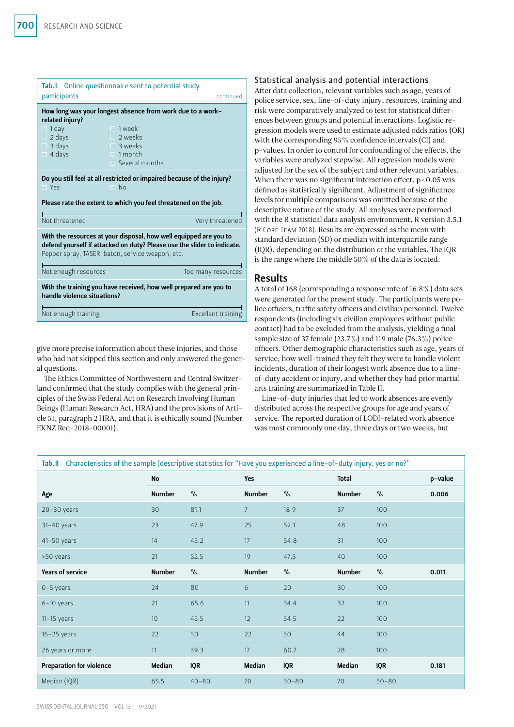| <b>Tab.</b> I Online questionnaire sent to potential study<br>participants<br>continued                                                                                                                                                        |                                                                                                                                                            |                    |  |  |  |
|------------------------------------------------------------------------------------------------------------------------------------------------------------------------------------------------------------------------------------------------|------------------------------------------------------------------------------------------------------------------------------------------------------------|--------------------|--|--|--|
| related injury?<br>1 day<br>П<br>2 days<br>$\Box$<br>$\Box$ 3 days<br>$\Box$ 4 days                                                                                                                                                            | How long was your longest absence from work due to a work-<br>$\Box$ 1 week<br>$\Box$ 2 weeks<br>$\Box$ 3 weeks<br>$\Box$ 1 month<br>$\Box$ Several months |                    |  |  |  |
| $\Box$ Yes                                                                                                                                                                                                                                     | Do you still feel at all restricted or impaired because of the injury?<br>$\Box$ No                                                                        |                    |  |  |  |
| Please rate the extent to which you feel threatened on the job.                                                                                                                                                                                |                                                                                                                                                            |                    |  |  |  |
| Not threatened                                                                                                                                                                                                                                 |                                                                                                                                                            | Very threatened    |  |  |  |
| With the resources at your disposal, how well equipped are you to<br>defend yourself if attacked on duty? Please use the slider to indicate.<br>Pepper spray, TASER, baton, service weapon, etc.<br>Not enough resources<br>Too many resources |                                                                                                                                                            |                    |  |  |  |
| With the training you have received, how well prepared are you to<br>handle violence situations?                                                                                                                                               |                                                                                                                                                            |                    |  |  |  |
| Not enough training                                                                                                                                                                                                                            |                                                                                                                                                            | Excellent training |  |  |  |

give more precise information about these injuries, and those who had not skipped this section and only answered the general questions.

The Ethics Committee of Northwestern and Central Switzerland confirmed that the study complies with the general principles of the Swiss Federal Act on Research Involving Human Beings (Human Research Act, HRA) and the provisions of Article 51, paragraph 2 HRA, and that it is ethically sound (Number EKNZ Req-2018-00001).

#### Statistical analysis and potential interactions

After data collection, relevant variables such as age, years of police service, sex, line-of-duty injury, resources, training and risk were comparatively analyzed to test for statistical differences between groups and potential interactions. Logistic regression models were used to estimate adjusted odds ratios (OR) with the corresponding 95% confidence intervals (CI) and p-values. In order to control for confounding of the effects, the variables were analyzed stepwise. All regression models were adjusted for the sex of the subject and other relevant variables. When there was no significant interaction effect,  $p < 0.05$  was defined as statistically significant. Adjustment of significance levels for multiple comparisons was omitted because of the descriptive nature of the study. All analyses were performed with the R statistical data analysis environment, R version 3.5.1 (R Core Team 2018). Results are expressed as the mean with standard deviation (SD) or median with interquartile range (IQR), depending on the distribution of the variables. The IQR is the range where the middle 50% of the data is located.

## Results

A total of 168 (corresponding a response rate of 16.8%) data sets were generated for the present study. The participants were police officers, traffic safety officers and civilian personnel. Twelve respondents (including six civilian employees without public contact) had to be excluded from the analysis, yielding a final sample size of 37 female (23.7%) and 119 male (76.3%) police officers. Other demographic characteristics such as age, years of service, how well-trained they felt they were to handle violent incidents, duration of their longest work absence due to a lineof-duty accident or injury, and whether they had prior martial arts training are summarized in Table II.

Line-of-duty injuries that led to work absences are evenly distributed across the respective groups for age and years of service. The reported duration of LODI-related work absence was most commonly one day, three days or two weeks, but

|                                 | No<br>Yes     |            |               | Total      |               | p-value    |       |
|---------------------------------|---------------|------------|---------------|------------|---------------|------------|-------|
| Age                             | <b>Number</b> | $\%$       | <b>Number</b> | $\%$       | <b>Number</b> | $\%$       | 0.006 |
| $20 - 30$ years                 | 30            | 81.1       | 7             | 18.9       | 37            | 100        |       |
| $31-40$ years                   | 23            | 47.9       | 25            | 52.1       | 48            | 100        |       |
| 41-50 years                     | 14            | 45.2       | 17            | 54.8       | 31            | 100        |       |
| >50 years                       | 21            | 52.5       | 19            | 47.5       | 40            | 100        |       |
| <b>Years of service</b>         | Number        | $\%$       | <b>Number</b> | $\%$       | <b>Number</b> | $\%$       | 0.011 |
| $0-5$ years                     | 24            | 80         | 6             | 20         | 30            | 100        |       |
| $6-10$ years                    | 21            | 65.6       | 11            | 34.4       | 32            | 100        |       |
| $11-15$ years                   | 10            | 45.5       | 12            | 54.5       | 22            | 100        |       |
| $16 - 25$ years                 | 22            | 50         | 22            | 50         | 44            | 100        |       |
| 26 years or more                | 11            | 39.3       | 17            | 60.7       | 28            | 100        |       |
| <b>Preparation for violence</b> | Median        | <b>IQR</b> | Median        | <b>IQR</b> | Median        | <b>IQR</b> | 0.181 |
| Median (IQR)                    | 65.5          | $40 - 80$  | 70            | $50 - 80$  | 70            | $50 - 80$  |       |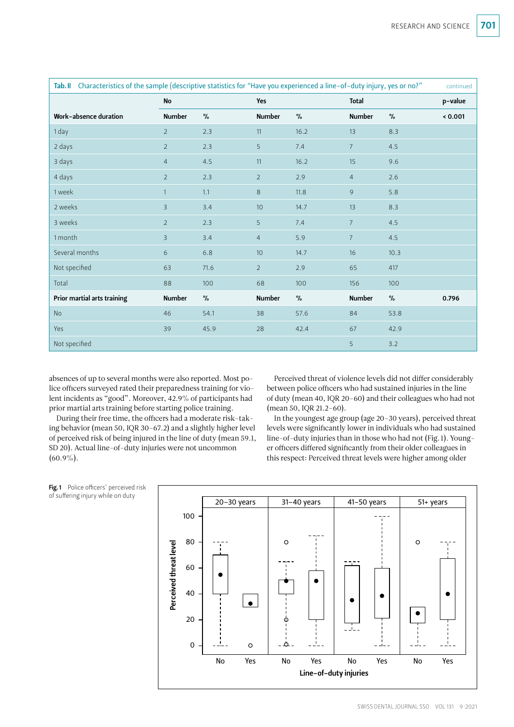| Tab. II Characteristics of the sample (descriptive statistics for "Have you experienced a line-of-duty injury, yes or no?"<br>continued |                |         |                |      |                |      |         |
|-----------------------------------------------------------------------------------------------------------------------------------------|----------------|---------|----------------|------|----------------|------|---------|
|                                                                                                                                         | No             |         | Yes            |      | Total          |      | p-value |
| Work-absence duration                                                                                                                   | <b>Number</b>  | $\%$    | <b>Number</b>  | $\%$ | <b>Number</b>  | $\%$ | < 0.001 |
| 1 day                                                                                                                                   | $\overline{2}$ | 2.3     | 11             | 16.2 | 13             | 8.3  |         |
| 2 days                                                                                                                                  | $\overline{2}$ | $2.3$   | 5              | 7.4  | $\overline{7}$ | 4.5  |         |
| 3 days                                                                                                                                  | $\overline{4}$ | $4.5\,$ | 11             | 16.2 | 15             | 9.6  |         |
| 4 days                                                                                                                                  | $\overline{2}$ | 2.3     | $\overline{2}$ | 2.9  | $\overline{4}$ | 2.6  |         |
| 1 week                                                                                                                                  | $\mathbf{1}$   | 1.1     | 8              | 11.8 | 9              | 5.8  |         |
| 2 weeks                                                                                                                                 | 3              | 3.4     | 10             | 14.7 | 13             | 8.3  |         |
| 3 weeks                                                                                                                                 | $\overline{2}$ | 2.3     | 5              | 7.4  | $\overline{7}$ | 4.5  |         |
| 1 month                                                                                                                                 | 3              | 3.4     | $\overline{4}$ | 5.9  | $\overline{7}$ | 4.5  |         |
| Several months                                                                                                                          | 6              | 6.8     | 10             | 14.7 | 16             | 10.3 |         |
| Not specified                                                                                                                           | 63             | 71.6    | $\overline{2}$ | 2.9  | 65             | 417  |         |
| Total                                                                                                                                   | 88             | 100     | 68             | 100  | 156            | 100  |         |
| Prior martial arts training                                                                                                             | <b>Number</b>  | $\%$    | <b>Number</b>  | $\%$ | <b>Number</b>  | $\%$ | 0.796   |
| <b>No</b>                                                                                                                               | 46             | 54.1    | 38             | 57.6 | 84             | 53.8 |         |
| Yes                                                                                                                                     | 39             | 45.9    | 28             | 42.4 | 67             | 42.9 |         |
| Not specified                                                                                                                           |                |         |                |      | 5              | 3.2  |         |

absences of up to several months were also reported. Most police officers surveyed rated their preparedness training for violent incidents as "good". Moreover, 42.9% of participants had prior martial arts training before starting police training.

During their free time, the officers had a moderate risk-taking behavior (mean 50, IQR 30–67.2) and a slightly higher level of perceived risk of being injured in the line of duty (mean 59.1, SD 20). Actual line-of-duty injuries were not uncommon  $(60.9\%)$ .

Perceived threat of violence levels did not differ considerably between police officers who had sustained injuries in the line of duty (mean 40, IQR 20–60) and their colleagues who had not (mean 50, IQR 21.2–60).

In the youngest age group (age 20–30 years), perceived threat levels were significantly lower in individuals who had sustained line-of-duty injuries than in those who had not (Fig. 1). Younger officers differed significantly from their older colleagues in this respect: Perceived threat levels were higher among older



Fig.1 Police officers' perceived risk of suffering injury while on duty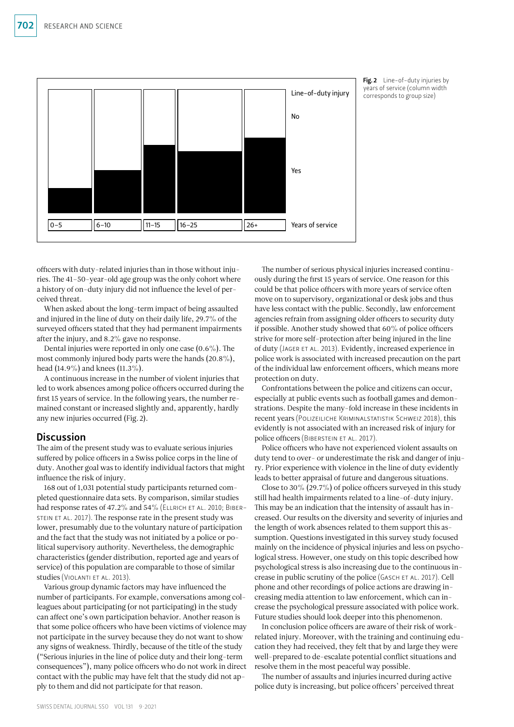

Fig. 2 Line-of-duty injuries by years of service (column width corresponds to group size)

officers with duty-related injuries than in those without injuries. The 41–50-year-old age group was the only cohort where a history of on-duty injury did not influence the level of perceived threat.

When asked about the long-term impact of being assaulted and injured in the line of duty on their daily life, 29.7% of the surveyed officers stated that they had permanent impairments after the injury, and 8.2% gave no response.

Dental injuries were reported in only one case (0.6%). The most commonly injured body parts were the hands (20.8%), head (14.9%) and knees (11.3%).

A continuous increase in the number of violent injuries that led to work absences among police officers occurred during the first 15 years of service. In the following years, the number remained constant or increased slightly and, apparently, hardly any new injuries occurred (Fig.2).

# **Discussion**

The aim of the present study was to evaluate serious injuries suffered by police officers in a Swiss police corps in the line of duty. Another goal was to identify individual factors that might influence the risk of injury.

168 out of 1,031 potential study participants returned completed questionnaire data sets. By comparison, similar studies had response rates of 47.2% and 54% (ELLRICH ET AL. 2010; BIBERstein et al. 2017). The response rate in the present study was lower, presumably due to the voluntary nature of participation and the fact that the study was not initiated by a police or political supervisory authority. Nevertheless, the demographic characteristics (gender distribution, reported age and years of service) of this population are comparable to those of similar studies (Violanti et al. 2013).

Various group dynamic factors may have influenced the number of participants. For example, conversations among colleagues about participating (or not participating) in the study can affect one's own participation behavior. Another reason is that some police officers who have been victims of violence may not participate in the survey because they do not want to show any signs of weakness. Thirdly, because of the title of the study ("Serious injuries in the line of police duty and their long-term consequences"), many police officers who do not work in direct contact with the public may have felt that the study did not apply to them and did not participate for that reason.

The number of serious physical injuries increased continuously during the first 15 years of service. One reason for this could be that police officers with more years of service often move on to supervisory, organizational or desk jobs and thus have less contact with the public. Secondly, law enforcement agencies refrain from assigning older officers to security duty if possible. Another study showed that 60% of police officers strive for more self-protection after being injured in the line of duty (Jager et al. 2013). Evidently, increased experience in police work is associated with increased precaution on the part of the individual law enforcement officers, which means more protection on duty.

Confrontations between the police and citizens can occur, especially at public events such as football games and demonstrations. Despite the many-fold increase in these incidents in recent years (Polizeiliche Kriminalstatistik Schweiz 2018), this evidently is not associated with an increased risk of injury for police officers (Biberstein et al. 2017).

Police officers who have not experienced violent assaults on duty tend to over- or underestimate the risk and danger of injury. Prior experience with violence in the line of duty evidently leads to better appraisal of future and dangerous situations.

Close to 30% (29.7%) of police officers surveyed in this study still had health impairments related to a line-of-duty injury. This may be an indication that the intensity of assault has increased. Our results on the diversity and severity of injuries and the length of work absences related to them support this assumption. Questions investigated in this survey study focused mainly on the incidence of physical injuries and less on psychological stress. However, one study on this topic described how psychological stress is also increasing due to the continuous increase in public scrutiny of the police (GASCH ET AL. 2017). Cell phone and other recordings of police actions are drawing increasing media attention to law enforcement, which can increase the psychological pressure associated with police work. Future studies should look deeper into this phenomenon.

In conclusion police officers are aware of their risk of workrelated injury. Moreover, with the training and continuing education they had received, they felt that by and large they were well-prepared to de-escalate potential conflict situations and resolve them in the most peaceful way possible.

The number of assaults and injuries incurred during active police duty is increasing, but police officers' perceived threat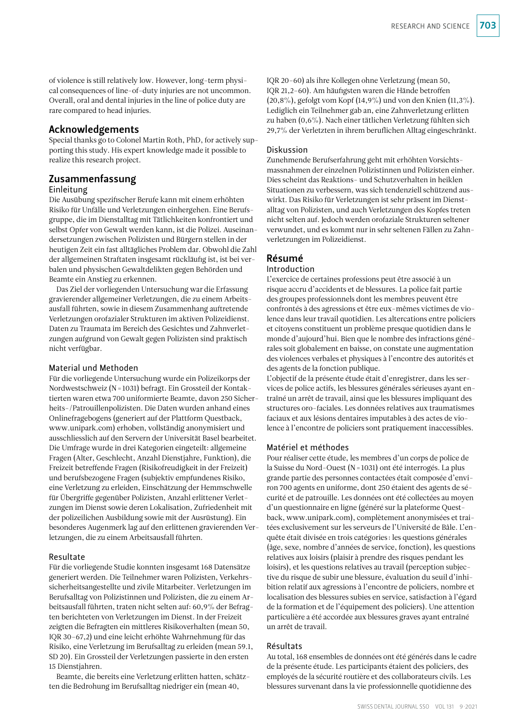of violence is still relatively low. However, long-term physical consequences of line-of-duty injuries are not uncommon. Overall, oral and dental injuries in the line of police duty are rare compared to head injuries.

# Acknowledgements

Special thanks go to Colonel Martin Roth, PhD, for actively supporting this study. His expert knowledge made it possible to realize this research project.

# Zusammenfassung

### Einleitung

Die Ausübung spezifischer Berufe kann mit einem erhöhten Risiko für Unfälle und Verletzungen einhergehen. Eine Berufsgruppe, die im Dienstalltag mit Tätlichkeiten konfrontiert und selbst Opfer von Gewalt werden kann, ist die Polizei. Auseinandersetzungen zwischen Polizisten und Bürgern stellen in der heutigen Zeit ein fast alltägliches Problem dar. Obwohl die Zahl der allgemeinen Straftaten insgesamt rückläufig ist, ist bei verbalen und physischen Gewaltdelikten gegen Behörden und Beamte ein Anstieg zu erkennen.

Das Ziel der vorliegenden Untersuchung war die Erfassung gravierender allgemeiner Verletzungen, die zu einem Arbeitsausfall führten, sowie in diesem Zusammenhang auftretende Verletzungen orofazialer Strukturen im aktiven Polizeidienst. Daten zu Traumata im Bereich des Gesichtes und Zahnverletzungen aufgrund von Gewalt gegen Polizisten sind praktisch nicht verfügbar.

#### Material und Methoden

Für die vorliegende Untersuchung wurde ein Polizeikorps der Nordwestschweiz (N=1031) befragt. Ein Grossteil der Kontaktierten waren etwa 700 uniformierte Beamte, davon 250 Sicherheits-/Patrouillenpolizisten. Die Daten wurden anhand eines Onlinefragebogens (generiert auf der Plattform Questback, [www.unipark.com](http://www.unipark.com)) erhoben, vollständig anonymisiert und ausschliesslich auf den Servern der Universität Basel bearbeitet. Die Umfrage wurde in drei Kategorien eingeteilt: allgemeine Fragen (Alter, Geschlecht, Anzahl Dienstjahre, Funktion), die Freizeit betreffende Fragen (Risikofreudigkeit in der Freizeit) und berufsbezogene Fragen (subjektiv empfundenes Risiko, eine Verletzung zu erleiden, Einschätzung der Hemmschwelle für Übergriffe gegenüber Polizisten, Anzahl erlittener Verletzungen im Dienst sowie deren Lokalisation, Zufriedenheit mit der polizeilichen Ausbildung sowie mit der Ausrüstung). Ein besonderes Augenmerk lag auf den erlittenen gravierenden Verletzungen, die zu einem Arbeitsausfall führten.

#### Resultate

Für die vorliegende Studie konnten insgesamt 168 Datensätze generiert werden. Die Teilnehmer waren Polizisten, Verkehrssicherheitsangestellte und zivile Mitarbeiter. Verletzungen im Berufsalltag von Polizistinnen und Polizisten, die zu einem Arbeitsausfall führten, traten nicht selten auf: 60,9% der Befragten berichteten von Verletzungen im Dienst. In der Freizeit zeigten die Befragten ein mittleres Risikoverhalten (mean 50, IQR 30–67,2) und eine leicht erhöhte Wahrnehmung für das Risiko, eine Verletzung im Berufsalltag zu erleiden (mean 59.1, SD 20). Ein Grossteil der Verletzungen passierte in den ersten 15 Dienstjahren.

Beamte, die bereits eine Verletzung erlitten hatten, schätzten die Bedrohung im Berufsalltag niedriger ein (mean 40,

IQR 20–60) als ihre Kollegen ohne Verletzung (mean 50, IQR 21,2–60). Am häufigsten waren die Hände betroffen (20,8%), gefolgt vom Kopf (14,9%) und von den Knien (11,3%). Lediglich ein Teilnehmer gab an, eine Zahnverletzung erlitten zu haben (0,6%). Nach einer tätlichen Verletzung fühlten sich 29,7% der Verletzten in ihrem beruflichen Alltag eingeschränkt.

#### Diskussion

Zunehmende Berufserfahrung geht mit erhöhten Vorsichtsmassnahmen der einzelnen Polizistinnen und Polizisten einher. Dies scheint das Reaktions- und Schutzverhalten in heiklen Situationen zu verbessern, was sich tendenziell schützend auswirkt. Das Risiko für Verletzungen ist sehr präsent im Dienstalltag von Polizisten, und auch Verletzungen des Kopfes treten nicht selten auf. Jedoch werden orofaziale Strukturen seltener verwundet, und es kommt nur in sehr seltenen Fällen zu Zahnverletzungen im Polizeidienst.

# Résumé

#### Introduction

L'exercice de certaines professions peut être associé à un risque accru d'accidents et de blessures. La police fait partie des groupes professionnels dont les membres peuvent être confrontés à des agressions et être eux-mêmes victimes de violence dans leur travail quotidien. Les altercations entre policiers et citoyens constituent un problème presque quotidien dans le monde d'aujourd'hui. Bien que le nombre des infractions générales soit globalement en baisse, on constate une augmentation des violences verbales et physiques à l'encontre des autorités et des agents de la fonction publique.

L'objectif de la présente étude était d'enregistrer, dans les services de police actifs, les blessures générales sérieuses ayant entraîné un arrêt de travail, ainsi que les blessures impliquant des structures oro-faciales. Les données relatives aux traumatismes faciaux et aux lésions dentaires imputables à des actes de violence à l'encontre de policiers sont pratiquement inaccessibles.

#### Matériel et méthodes

Pour réaliser cette étude, les membres d'un corps de police de la Suisse du Nord-Ouest (N=1031) ont été interrogés. La plus grande partie des personnes contactées était composée d'environ 700 agents en uniforme, dont 250 étaient des agents de sécurité et de patrouille. Les données ont été collectées au moyen d'un questionnaire en ligne (généré sur la plateforme Questback, [www.unipark.com\)](http://www.unipark.com), complètement anonymisées et traitées exclusivement sur les serveurs de l'Université de Bâle. L'enquête était divisée en trois catégories: les questions générales (âge, sexe, nombre d'années de service, fonction), les questions relatives aux loisirs (plaisir à prendre des risques pendant les loisirs), et les questions relatives au travail (perception subjective du risque de subir une blessure, évaluation du seuil d'inhibition relatif aux agressions à l'encontre de policiers, nombre et localisation des blessures subies en service, satisfaction à l'égard de la formation et de l'équipement des policiers). Une attention particulière a été accordée aux blessures graves ayant entraîné un arrêt de travail.

#### Résultats

Au total, 168 ensembles de données ont été générés dans le cadre de la présente étude. Les participants étaient des policiers, des employés de la sécurité routière et des collaborateurs civils. Les blessures survenant dans la vie professionnelle quotidienne des